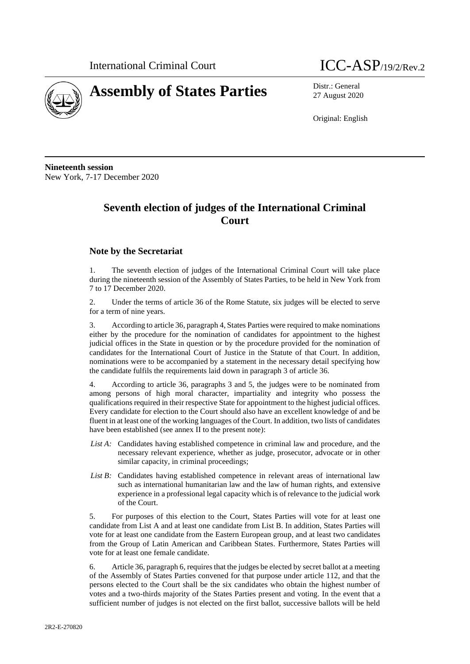

# **Assembly of States Parties** Distr.: General



27 August 2020

Original: English

**Nineteenth session** New York, 7-17 December 2020

## **Seventh election of judges of the International Criminal Court**

#### **Note by the Secretariat**

1. The seventh election of judges of the International Criminal Court will take place during the nineteenth session of the Assembly of States Parties, to be held in New York from 7 to 17 December 2020.

2. Under the terms of article 36 of the Rome Statute, six judges will be elected to serve for a term of nine years.

3. According to article 36, paragraph 4, States Parties were required to make nominations either by the procedure for the nomination of candidates for appointment to the highest judicial offices in the State in question or by the procedure provided for the nomination of candidates for the International Court of Justice in the Statute of that Court. In addition, nominations were to be accompanied by a statement in the necessary detail specifying how the candidate fulfils the requirements laid down in paragraph 3 of article 36.

4. According to article 36, paragraphs 3 and 5, the judges were to be nominated from among persons of high moral character, impartiality and integrity who possess the qualifications required in their respective State for appointment to the highest judicial offices. Every candidate for election to the Court should also have an excellent knowledge of and be fluent in at least one of the working languages of the Court. In addition, two lists of candidates have been established (see annex II to the present note):

- *List A:* Candidates having established competence in criminal law and procedure, and the necessary relevant experience, whether as judge, prosecutor, advocate or in other similar capacity, in criminal proceedings;
- *List B:* Candidates having established competence in relevant areas of international law such as international humanitarian law and the law of human rights, and extensive experience in a professional legal capacity which is of relevance to the judicial work of the Court.

5. For purposes of this election to the Court, States Parties will vote for at least one candidate from List A and at least one candidate from List B. In addition, States Parties will vote for at least one candidate from the Eastern European group, and at least two candidates from the Group of Latin American and Caribbean States. Furthermore, States Parties will vote for at least one female candidate.

6. Article 36, paragraph 6, requires that the judges be elected by secret ballot at a meeting of the Assembly of States Parties convened for that purpose under article 112, and that the persons elected to the Court shall be the six candidates who obtain the highest number of votes and a two-thirds majority of the States Parties present and voting. In the event that a sufficient number of judges is not elected on the first ballot, successive ballots will be held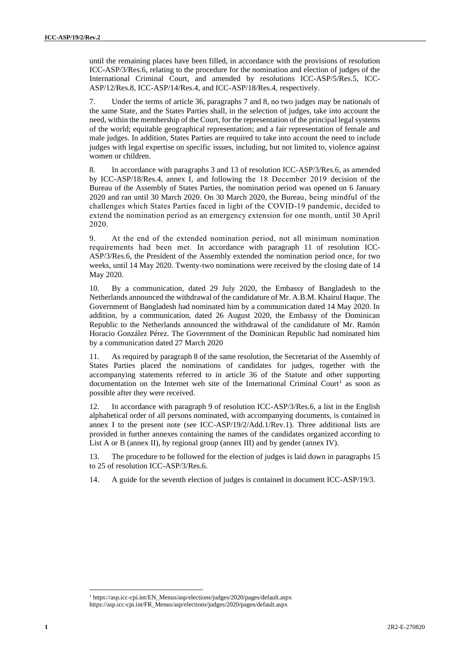until the remaining places have been filled, in accordance with the provisions of resolution ICC-ASP/3/Res.6, relating to the procedure for the nomination and election of judges of the International Criminal Court, and amended by resolutions ICC-ASP/5/Res.5, ICC-ASP/12/Res.8, ICC-ASP/14/Res.4, and ICC-ASP/18/Res.4, respectively.

7. Under the terms of article 36, paragraphs 7 and 8, no two judges may be nationals of the same State, and the States Parties shall, in the selection of judges, take into account the need, within the membership of the Court, for the representation of the principal legal systems of the world; equitable geographical representation; and a fair representation of female and male judges. In addition, States Parties are required to take into account the need to include judges with legal expertise on specific issues, including, but not limited to, violence against women or children.

8. In accordance with paragraphs 3 and 13 of resolution ICC-ASP/3/Res.6, as amended by ICC-ASP/18/Res.4, annex I, and following the 18 December 2019 decision of the Bureau of the Assembly of States Parties, the nomination period was opened on 6 January 2020 and ran until 30 March 2020. On 30 March 2020, the Bureau, being mindful of the challenges which States Parties faced in light of the COVID-19 pandemic, decided to extend the nomination period as an emergency extension for one month, until 30 April 2020.

9. At the end of the extended nomination period, not all minimum nomination requirements had been met. In accordance with paragraph 11 of resolution ICC-ASP/3/Res.6, the President of the Assembly extended the nomination period once, for two weeks, until 14 May 2020. Twenty-two nominations were received by the closing date of 14 May 2020.

10. By a communication, dated 29 July 2020, the Embassy of Bangladesh to the Netherlands announced the withdrawal of the candidature of Mr. A.B.M. Khairul Haque. The Government of Bangladesh had nominated him by a communication dated 14 May 2020. In addition, by a communication, dated 26 August 2020, the Embassy of the Dominican Republic to the Netherlands announced the withdrawal of the candidature of Mr. Ramón Horacio González Pérez. The Government of the Dominican Republic had nominated him by a communication dated 27 March 2020

11. As required by paragraph 8 of the same resolution, the Secretariat of the Assembly of States Parties placed the nominations of candidates for judges, together with the accompanying statements referred to in article 36 of the Statute and other supporting documentation on the Internet web site of the International Criminal Court<sup>1</sup> as soon as possible after they were received.

12. In accordance with paragraph 9 of resolution ICC-ASP/3/Res.6, a list in the English alphabetical order of all persons nominated, with accompanying documents, is contained in annex I to the present note (see ICC-ASP/19/2/Add.1/Rev.1). Three additional lists are provided in further annexes containing the names of the candidates organized according to List A or B (annex II), by regional group (annex III) and by gender (annex IV).

13. The procedure to be followed for the election of judges is laid down in paragraphs 15 to 25 of resolution ICC-ASP/3/Res.6.

14. A guide for the seventh election of judges is contained in document ICC-ASP/19/3.

<sup>1</sup> https://asp.icc-cpi.int/EN\_Menus/asp/elections/judges/2020/pages/default.aspx https://asp.icc-cpi.int/FR\_Menus/asp/elections/judges/2020/pages/default.aspx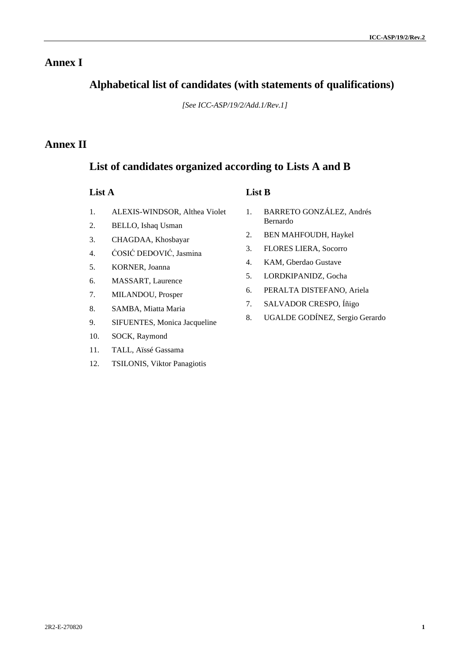## **Annex I**

## **Alphabetical list of candidates (with statements of qualifications)**

*[See ICC-ASP/19/2/Add.1/Rev.1]*

## **Annex II**

## **List of candidates organized according to Lists A and B**

#### **List A List B**

- 1. ALEXIS-WINDSOR, Althea Violet
- 2. BELLO, Ishaq Usman
- 3. CHAGDAA, Khosbayar
- 4. ĆOSIĆ DEDOVIĆ, Jasmina
- 5. KORNER, Joanna
- 6. MASSART, Laurence
- 7. MILANDOU, Prosper
- 8. SAMBA, Miatta Maria
- 9. SIFUENTES, Monica Jacqueline
- 10. SOCK, Raymond
- 11. TALL, Aïssé Gassama
- 12. TSILONIS, Viktor Panagiotis
- 
- 1. BARRETO GONZÁLEZ, Andrés Bernardo
- 2. BEN MAHFOUDH, Haykel
- 3. FLORES LIERA, Socorro
- 4. KAM, Gberdao Gustave
- 5. LORDKIPANIDZ, Gocha
- 6. PERALTA DISTEFANO, Ariela
- 7. SALVADOR CRESPO, Íñigo
- 8. UGALDE GODÍNEZ, Sergio Gerardo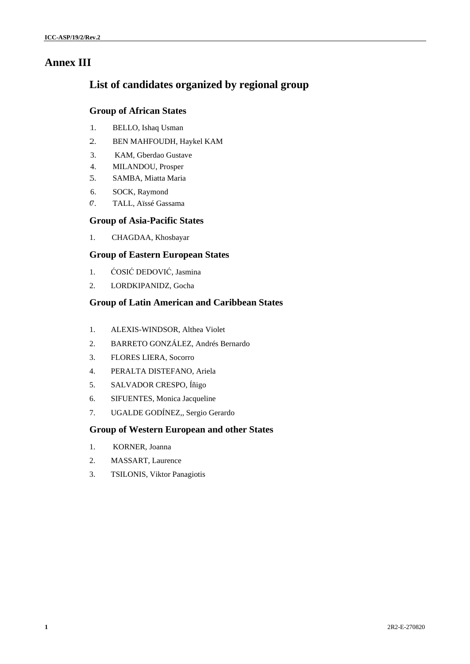## **Annex III**

## **List of candidates organized by regional group**

#### **Group of African States**

- 1. BELLO, Ishaq Usman
- 2. BEN MAHFOUDH, Haykel KAM
- 3. KAM, Gberdao Gustave
- 4. MILANDOU, Prosper
- 3. 5. SAMBA, Miatta Maria
- 6. SOCK, Raymond
- 6. 7. TALL, Aïssé Gassama

#### **Group of Asia-Pacific States**

1. CHAGDAA, Khosbayar

### **Group of Eastern European States**

- 1. ĆOSIĆ DEDOVIĆ, Jasmina
- 2. LORDKIPANIDZ, Gocha

### **Group of Latin American and Caribbean States**

- 1. ALEXIS-WINDSOR, Althea Violet
- 2. BARRETO GONZÁLEZ, Andrés Bernardo
- 3. FLORES LIERA, Socorro
- 4. PERALTA DISTEFANO, Ariela
- 5. SALVADOR CRESPO, Íñigo
- 6. SIFUENTES, Monica Jacqueline
- 7. UGALDE GODÍNEZ,, Sergio Gerardo

### **Group of Western European and other States**

- 1. KORNER, Joanna
- 2. MASSART, Laurence
- 3. TSILONIS, Viktor Panagiotis